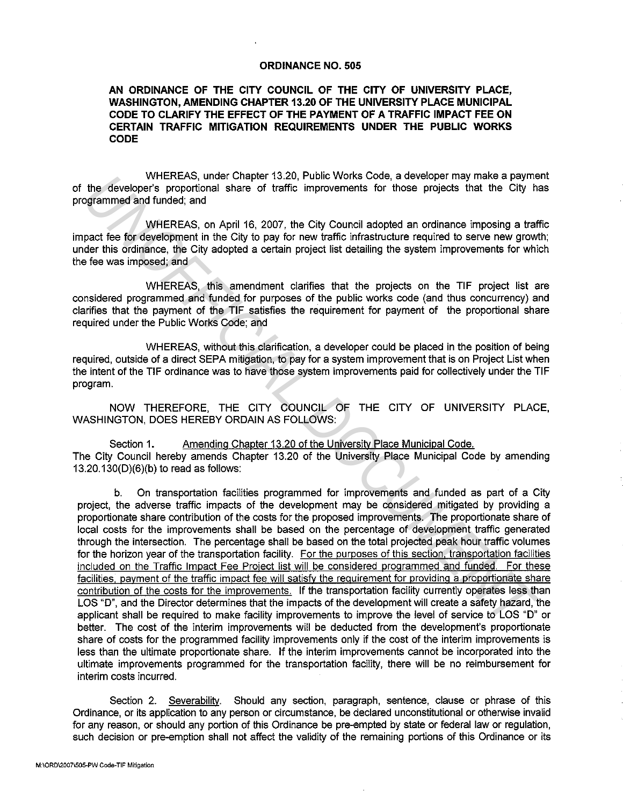## **ORDINANCE NO. 505**

## **AN ORDINANCE OF THE CITY COUNCIL OF THE CITY OF UNIVERSITY PLACE, WASHINGTON, AMENDING CHAPTER 13.20 OF THE UNIVERSITY PLACE MUNICIPAL CODE TO CLARIFY THE EFFECT OF THE PAYMENT OF A TRAFFIC IMPACT FEE ON CERTAIN TRAFFIC MITIGATION REQUIREMENTS UNDER THE PUBLIC WORKS CODE**

WHEREAS, under Chapter 13.20, Public Works Code, a developer may make a payment of the developer's proportional share of traffic improvements for those projects that the City has programmed and funded; and

WHEREAS, on April 16, 2007, the City Council adopted an ordinance imposing a traffic impact fee for development in the City to pay for new traffic infrastructure required to serve new growth; under this ordinance, the City adopted a certain project list detailing the system improvements for which the fee was imposed; and

WHEREAS, this amendment clarifies that the projects on the TIF project list are considered programmed and funded for purposes of the public works code (and thus concurrency) and clarifies that the payment of the TIF satisfies the requirement for payment of the proportional share required under the Public Works Code; and

WHEREAS, without this clarification, a developer could be placed in the position of being required, outside of a direct SEPA mitigation, to pay for a system improvement that is on Project List when the intent of the TIF ordinance was to have those system improvements paid for collectively under the TIF program.

NOW THEREFORE, THE CITY COUNCIL OF THE CITY OF UNIVERSITY PLACE, WASHINGTON, DOES HEREBY ORDAIN AS FOLLOWS:

Section 1. Amending Chapter 13.20 of the University Place Municipal Code. The City Council hereby amends Chapter 13.20 of the University Place Municipal Code by amending 13.20.130(D)(6)(b) to read as follows:

b. On transportation facilities programmed for improvements and funded as part of a City project, the adverse traffic impacts of the development may be considered mitigated by providing a proportionate share contribution of the costs for the proposed improvements. The proportionate share of local costs for the improvements shall be based on the percentage of development traffic generated through the intersection. The percentage shall be based on the total projected peak hour traffic volumes for the horizon year of the transportation facility. For the purposes of this section, transportation facilities included on the Traffic Impact Fee Project list will be considered programmed and funded. For these facilities, payment of the traffic impact fee will satisfy the requirement for providing a proportionate share contribution of the costs for the improvements. If the transportation facility currently operates less than LOS "D", and the Director determines that the impacts of the development will create a safety hazard, the applicant shall be required to make facility improvements to improve the level of service to LOS "D" or better. The cost of the interim improvements will be deducted from the development's proportionate share of costs for the programmed facility improvements only if the cost of the interim improvements is less than the ultimate proportionate share. If the interim improvements cannot be incorporated into the ultimate improvements programmed for the transportation facility, there will be no reimbursement for interim costs incurred. WHEREAS, unter Chapter 13.20, Public Works Code, a developer in all make a paymer<br>grammed and funded, and<br>grammed and funded, and<br>grammed and funded, and<br>grammed and funded, and<br>paymetric method in the City Council adopted

Section 2. Severability. Should any section, paragraph, sentence, clause or phrase of this Ordinance, or its application to any person or circumstance, be declared unconstitutional or otherwise invalid for any reason, or should any portion of this Ordinance be pre-empted by state or federal law or regulation, such decision or pre-emption shall not affect the validity of the remaining portions of this Ordinance or its